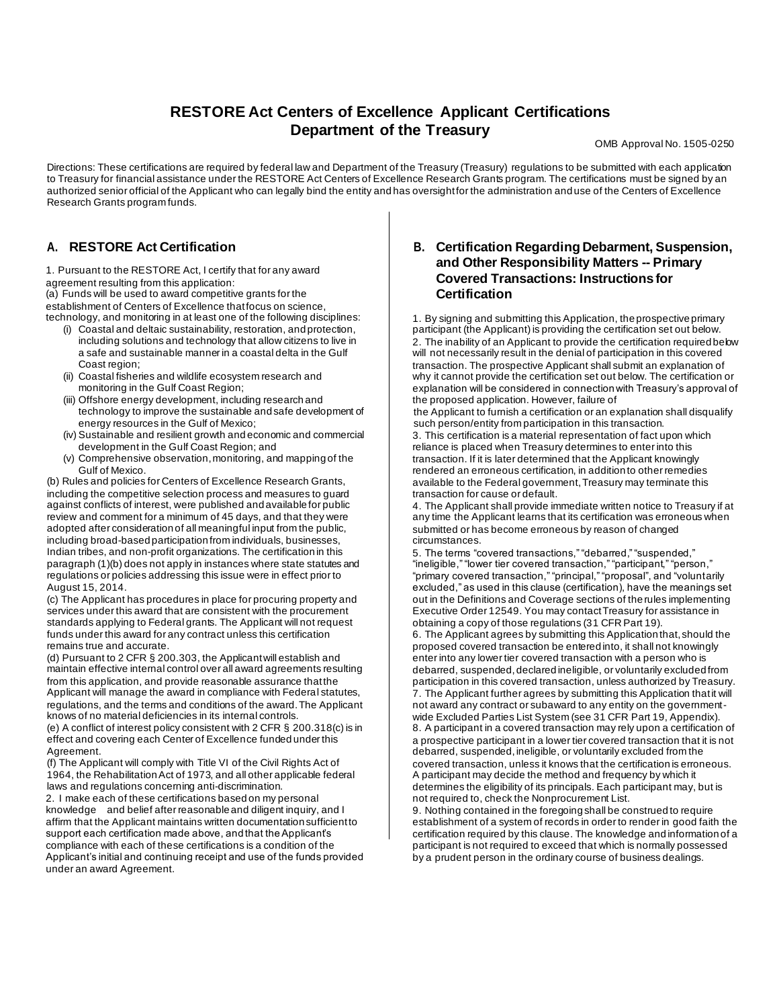# **RESTORE Act Centers of Excellence Applicant Certifications Department of the Treasury**

OMB Approval No. 1505-0250

Directions: These certifications are required by federal law and Department of the Treasury (Treasury) regulations to be submitted with each application to Treasury for financial assistance under the RESTORE Act Centers of Excellence Research Grants program. The certifications must be signed by an authorized senior official of the Applicant who can legally bind the entity and has oversight for the administration and use of the Centers of Excellence Research Grants program funds.

## **A. RESTORE Act Certification**

1. Pursuant to the RESTORE Act, I certify that for any award agreement resulting from this application: (a) Funds will be used to award competitive grants for the establishment of Centers of Excellence that focus on science, technology, and monitoring in at least one of the following disciplines:

- (i) Coastal and deltaic sustainability, restoration, and protection, including solutions and technology that allow citizens to live in a safe and sustainable manner in a coastal delta in the Gulf Coast region;
- (ii) Coastal fisheries and wildlife ecosystem research and monitoring in the Gulf Coast Region;
- (iii) Offshore energy development, including research and technology to improve the sustainable and safe development of energy resources in the Gulf of Mexico;
- (iv) Sustainable and resilient growth and economic and commercial development in the Gulf Coast Region; and
- (v) Comprehensive observation, monitoring, and mapping of the Gulf of Mexico.

(b) Rules and policies for Centers of Excellence Research Grants, including the competitive selection process and measures to guard against conflicts of interest, were published and available for public review and comment for a minimum of 45 days, and that they were adopted after consideration of all meaningful input from the public, including broad-based participation from individuals, businesses, Indian tribes, and non-profit organizations. The certification in this paragraph (1)(b) does not apply in instances where state statutes and regulations or policies addressing this issue were in effect prior to August 15, 2014.

(c) The Applicant has procedures in place for procuring property and services under this award that are consistent with the procurement standards applying to Federal grants. The Applicant will not request funds under this award for any contract unless this certification remains true and accurate.

(d) Pursuant to 2 CFR § 200.303, the Applicant will establish and maintain effective internal control over all award agreements resulting from this application, and provide reasonable assurance that the Applicant will manage the award in compliance with Federal statutes, regulations, and the terms and conditions of the award. The Applicant knows of no material deficiencies in its internal controls.

(e) A conflict of interest policy consistent with 2 CFR § 200.318(c) is in effect and covering each Center of Excellence funded under this Agreement.

(f) The Applicant will comply with Title VI of the Civil Rights Act of 1964, the Rehabilitation Act of 1973, and all other applicable federal laws and regulations concerning anti-discrimination.

2. I make each of these certifications based on my personal knowledge and belief after reasonable and diligent inquiry, and I affirm that the Applicant maintains written documentation sufficient to support each certification made above, and that the Applicant's compliance with each of these certifications is a condition of the Applicant's initial and continuing receipt and use of the funds provided under an award Agreement.

#### **B. Certification Regarding Debarment, Suspension, and Other Responsibility Matters -- Primary Covered Transactions: Instructions for Certification**

1. By signing and submitting this Application, the prospective primary participant (the Applicant) is providing the certification set out below. 2. The inability of an Applicant to provide the certification required below will not necessarily result in the denial of participation in this covered transaction. The prospective Applicant shall submit an explanation of why it cannot provide the certification set out below. The certification or explanation will be considered in connection with Treasury's approval of the proposed application. However, failure of

the Applicant to furnish a certification or an explanation shall disqualify such person/entity from participation in this transaction.

3. This certification is a material representation of fact upon which reliance is placed when Treasury determines to enter into this transaction. If it is later determined that the Applicant knowingly rendered an erroneous certification, in addition to other remedies available to the Federal government, Treasury may terminate this transaction for cause or default.

4. The Applicant shall provide immediate written notice to Treasury if at any time the Applicant learns that its certification was erroneous when submitted or has become erroneous by reason of changed circumstances.

5. The terms "covered transactions," "debarred," "suspended," "ineligible," "lower tier covered transaction," "participant," "person," "primary covered transaction," "principal," "proposal", and "voluntarily excluded," as used in this clause (certification), have the meanings set out in the Definitions and Coverage sections of the rules implementing Executive Order 12549. You may contact Treasury for assistance in obtaining a copy of those regulations (31 CFR Part 19).

6. The Applicant agrees by submitting this Application that, should the proposed covered transaction be entered into, it shall not knowingly enter into any lower tier covered transaction with a person who is debarred, suspended, declared ineligible, or voluntarily excluded from participation in this covered transaction, unless authorized by Treasury. 7. The Applicant further agrees by submitting this Application that it will not award any contract or subaward to any entity on the governmentwide Excluded Parties List System (see 31 CFR Part 19, Appendix). 8. A participant in a covered transaction may rely upon a certification of a prospective participant in a lower tier covered transaction that it is not debarred, suspended, ineligible, or voluntarily excluded from the covered transaction, unless it knows that the certification is erroneous. A participant may decide the method and frequency by which it determines the eligibility of its principals. Each participant may, but is not required to, check the Nonprocurement List.

9. Nothing contained in the foregoing shall be construed to require establishment of a system of records in order to render in good faith the certification required by this clause. The knowledge and information of a participant is not required to exceed that which is normally possessed by a prudent person in the ordinary course of business dealings.